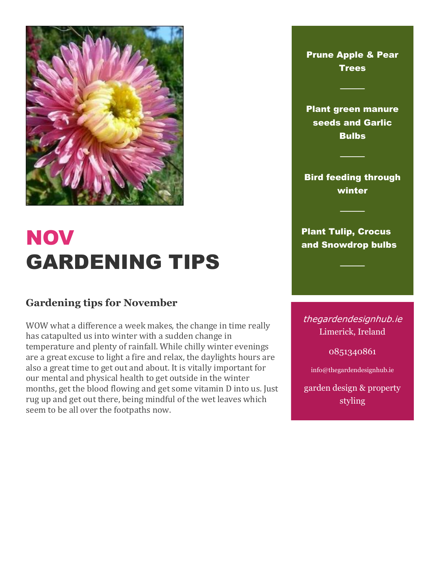

## **NOV** GARDENING TIPS

## **Gardening tips for November**

WOW what a difference a week makes, the change in time really has catapulted us into winter with a sudden change in temperature and plenty of rainfall. While chilly winter evenings are a great excuse to light a fire and relax, the daylights hours are also a great time to get out and about. It is vitally important for our mental and physical health to get outside in the winter months, get the blood flowing and get some vitamin D into us. Just rug up and get out there, being mindful of the wet leaves which seem to be all over the footpaths now.

Prune Apple & Pear **Trees** ──── Plant green manure seeds and Garlic **Bulbs** ──── Bird feeding through winter ──── Plant Tulip, Crocus and Snowdrop bulbs ──── thegardendesignhub.ie Limerick, Ireland

0851340861

info@thegardendesignhub.ie

garden design & property styling